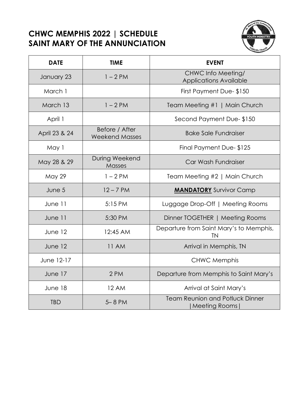## **CHWC MEMPHIS 2022 | SCHEDULE SAINT MARY OF THE ANNUNCIATION**



| <b>DATE</b>   | <b>TIME</b>                             | <b>EVENT</b>                                        |
|---------------|-----------------------------------------|-----------------------------------------------------|
| January 23    | $1 - 2 PM$                              | CHWC Info Meeting/<br><b>Applications Available</b> |
| March 1       |                                         | First Payment Due-\$150                             |
| March 13      | $1 - 2 PM$                              | Team Meeting #1   Main Church                       |
| April 1       |                                         | Second Payment Due-\$150                            |
| April 23 & 24 | Before / After<br><b>Weekend Masses</b> | <b>Bake Sale Fundraiser</b>                         |
| May 1         |                                         | Final Payment Due-\$125                             |
| May 28 & 29   | During Weekend<br><b>Masses</b>         | Car Wash Fundraiser                                 |
| <b>May 29</b> | $1 - 2 PM$                              | Team Meeting #2   Main Church                       |
| June 5        | $12 - 7$ PM                             | <b>MANDATORY</b> Survivor Camp                      |
| June 11       | 5:15 PM                                 | Luggage Drop-Off   Meeting Rooms                    |
| June 11       |                                         |                                                     |
|               | 5:30 PM                                 | Dinner TOGETHER   Meeting Rooms                     |
| June 12       | 12:45 AM                                | Departure from Saint Mary's to Memphis,<br>TN       |
| June 12       | 11 AM                                   | Arrival in Memphis, TN                              |
| June 12-17    |                                         | <b>CHWC Memphis</b>                                 |
| June 17       | 2 PM                                    | Departure from Memphis to Saint Mary's              |
| June 18       | <b>12 AM</b>                            | Arrival at Saint Mary's                             |